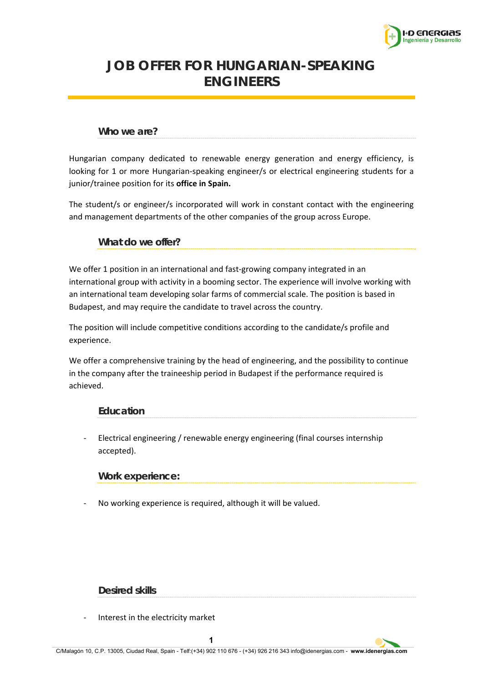

# **JOB OFFER FOR HUNGARIAN-SPEAKING ENGINEERS**

# **Who we are?**

Hungarian company dedicated to renewable energy generation and energy efficiency, is looking for 1 or more Hungarian-speaking engineer/s or electrical engineering students for a junior/trainee position for its **office in Spain.**

The student/s or engineer/s incorporated will work in constant contact with the engineering and management departments of the other companies of the group across Europe.

### **What do we offer?**

We offer 1 position in an international and fast-growing company integrated in an international group with activity in a booming sector. The experience will involve working with an international team developing solar farms of commercial scale. The position is based in Budapest, and may require the candidate to travel across the country.

The position will include competitive conditions according to the candidate/s profile and experience.

We offer a comprehensive training by the head of engineering, and the possibility to continue in the company after the traineeship period in Budapest if the performance required is achieved.

# **Education**

‐ Electrical engineering / renewable energy engineering (final courses internship accepted).

# **Work experience:**

‐ No working experience is required, although it will be valued.

#### **Desired skills**

‐ Interest in the electricity market

**1**